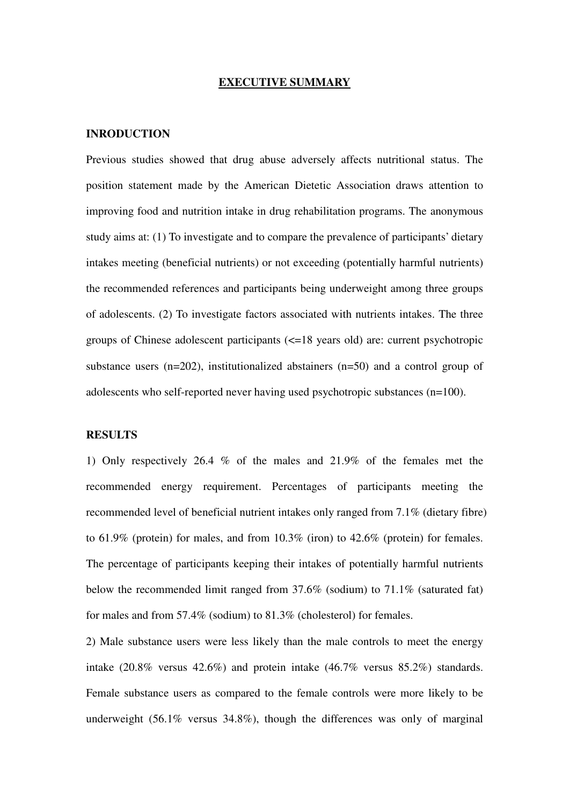## **EXECUTIVE SUMMARY**

# **INRODUCTION**

Previous studies showed that drug abuse adversely affects nutritional status. The position statement made by the American Dietetic Association draws attention to improving food and nutrition intake in drug rehabilitation programs. The anonymous study aims at: (1) To investigate and to compare the prevalence of participants' dietary intakes meeting (beneficial nutrients) or not exceeding (potentially harmful nutrients) the recommended references and participants being underweight among three groups of adolescents. (2) To investigate factors associated with nutrients intakes. The three groups of Chinese adolescent participants (<=18 years old) are: current psychotropic substance users (n=202), institutionalized abstainers (n=50) and a control group of adolescents who self-reported never having used psychotropic substances (n=100).

## **RESULTS**

1) Only respectively 26.4 % of the males and 21.9% of the females met the recommended energy requirement. Percentages of participants meeting the recommended level of beneficial nutrient intakes only ranged from 7.1% (dietary fibre) to 61.9% (protein) for males, and from 10.3% (iron) to 42.6% (protein) for females. The percentage of participants keeping their intakes of potentially harmful nutrients below the recommended limit ranged from 37.6% (sodium) to 71.1% (saturated fat) for males and from 57.4% (sodium) to 81.3% (cholesterol) for females.

2) Male substance users were less likely than the male controls to meet the energy intake (20.8% versus 42.6%) and protein intake (46.7% versus 85.2%) standards. Female substance users as compared to the female controls were more likely to be underweight (56.1% versus 34.8%), though the differences was only of marginal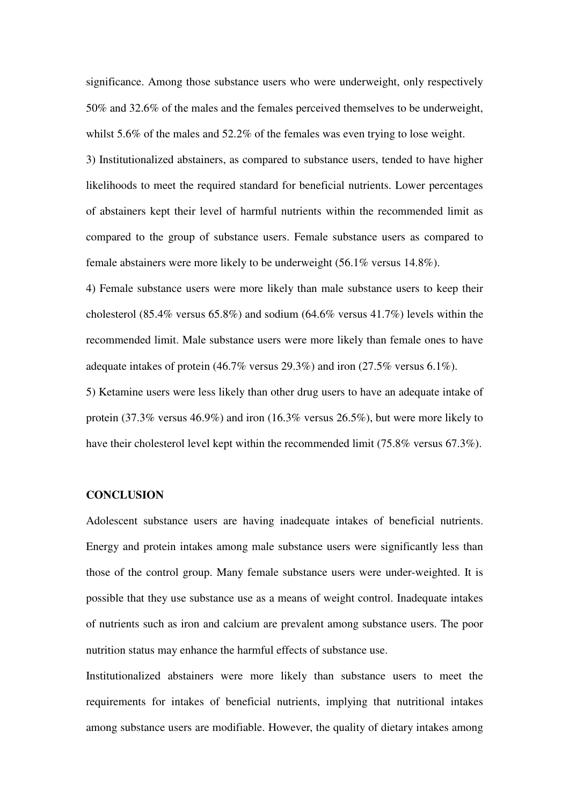significance. Among those substance users who were underweight, only respectively 50% and 32.6% of the males and the females perceived themselves to be underweight, whilst 5.6% of the males and 52.2% of the females was even trying to lose weight.

3) Institutionalized abstainers, as compared to substance users, tended to have higher likelihoods to meet the required standard for beneficial nutrients. Lower percentages of abstainers kept their level of harmful nutrients within the recommended limit as compared to the group of substance users. Female substance users as compared to female abstainers were more likely to be underweight (56.1% versus 14.8%).

4) Female substance users were more likely than male substance users to keep their cholesterol (85.4% versus 65.8%) and sodium (64.6% versus 41.7%) levels within the recommended limit. Male substance users were more likely than female ones to have adequate intakes of protein (46.7% versus 29.3%) and iron (27.5% versus 6.1%).

5) Ketamine users were less likely than other drug users to have an adequate intake of protein (37.3% versus 46.9%) and iron (16.3% versus 26.5%), but were more likely to have their cholesterol level kept within the recommended limit (75.8% versus 67.3%).

## **CONCLUSION**

Adolescent substance users are having inadequate intakes of beneficial nutrients. Energy and protein intakes among male substance users were significantly less than those of the control group. Many female substance users were under-weighted. It is possible that they use substance use as a means of weight control. Inadequate intakes of nutrients such as iron and calcium are prevalent among substance users. The poor nutrition status may enhance the harmful effects of substance use.

Institutionalized abstainers were more likely than substance users to meet the requirements for intakes of beneficial nutrients, implying that nutritional intakes among substance users are modifiable. However, the quality of dietary intakes among